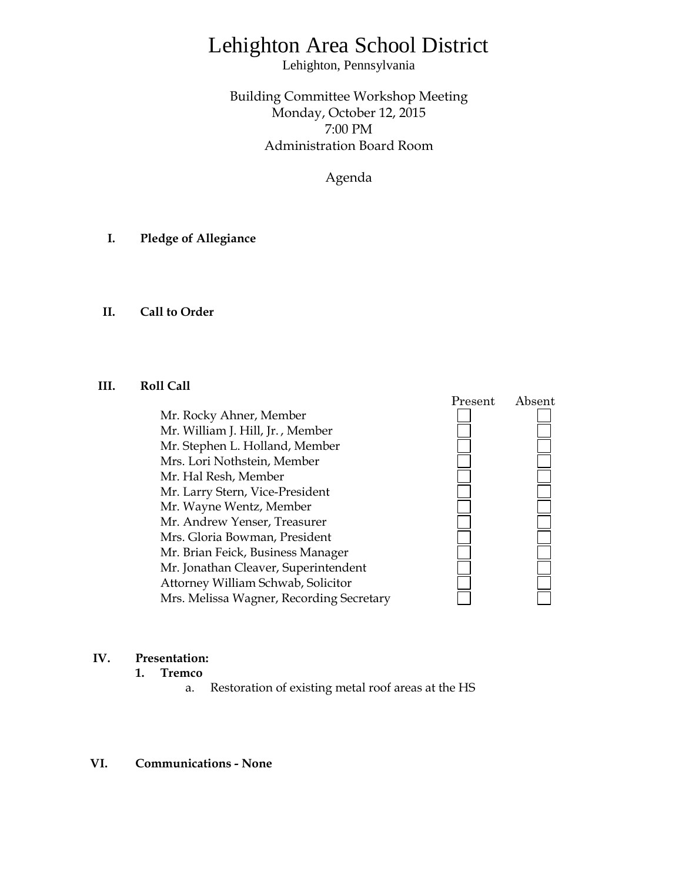# Lehighton Area School District

Lehighton, Pennsylvania

Building Committee Workshop Meeting Monday, October 12, 2015 7:00 PM Administration Board Room

Agenda

- **I. Pledge of Allegiance**
- **II. Call to Order**

### **III. Roll Call**

Mr. Rocky Ahner, Member Mr. William J. Hill, Jr. , Member Mr. Stephen L. Holland, Member Mrs. Lori Nothstein, Member Mr. Hal Resh, Member Mr. Larry Stern, Vice-President Mr. Wayne Wentz, Member Mr. Andrew Yenser, Treasurer Mrs. Gloria Bowman, President Mr. Brian Feick, Business Manager Mr. Jonathan Cleaver, Superintendent Attorney William Schwab, Solicitor Mrs. Melissa Wagner, Recording Secretary



## **IV. Presentation:**

- **1. Tremco**
	- a. Restoration of existing metal roof areas at the HS

### **VI. Communications - None**